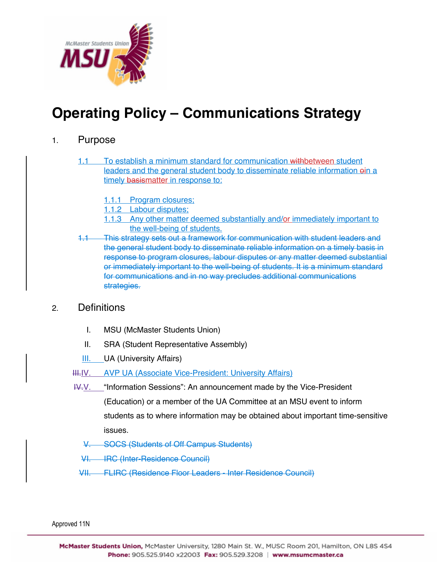

# **Operating Policy – Communications Strategy**

#### 1. Purpose

- 1.1 To establish a minimum standard for communication withbetween student leaders and the general student body to disseminate reliable information  $e$ in a timely basismatter in response to:
	- 1.1.1 Program closures;
	- 1.1.2 Labour disputes;
	- 1.1.3 Any other matter deemed substantially and/or immediately important to the well-being of students.
- This strategy sets out a framework for communication with student leaders and the general student body to disseminate reliable information on a timely basis in response to program closures, labour disputes or any matter deemed substantial or immediately important to the well-being of students. It is a minimum standard for communications and in no way precludes additional communications strategies.

#### 2. Definitions

- I. MSU (McMaster Students Union)
- II. SRA (Student Representative Assembly)
- III. UA (University Affairs)
- HH. IV. AVP UA (Associate Vice-President: University Affairs)
- IV.V. "Information Sessions": An announcement made by the Vice-President

(Education) or a member of the UA Committee at an MSU event to inform students as to where information may be obtained about important time-sensitive issues.

- SOCS (Students of Off Campus Students)
- VI. IRC (Inter-Residence Council)
- VII. FLIRC (Residence Floor Leaders Inter Residence Council)

Approved 11N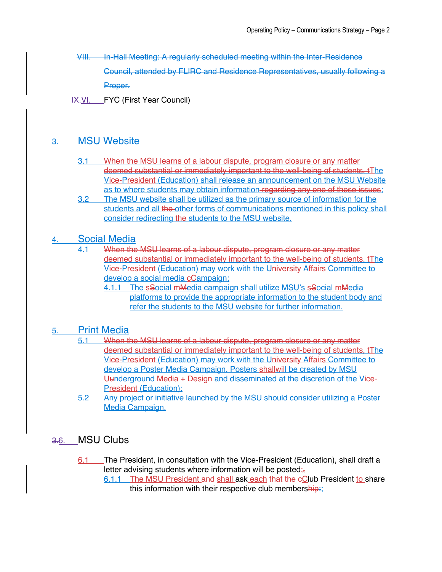VIII. In-Hall Meeting: A regularly scheduled meeting within the Inter-Residence Council, attended by FLIRC and Residence Representatives, usually following a Proper.

IX.VI. FYC (First Year Council)

# 3. MSU Website

- 3.1 When the MSU learns of a labour dispute, program closure or any matter deemed substantial or immediately important to the well-being of students, tThe Vice-President (Education) shall release an announcement on the MSU Website as to where students may obtain information regarding any one of these issues;
- 3.2 The MSU website shall be utilized as the primary source of information for the students and all the other forms of communications mentioned in this policy shall consider redirecting the students to the MSU website.

#### 4. Social Media

4.1 When the MSU learns of a labour dispute, program closure or any matter deemed substantial or immediately important to the well-being of students, tThe Vice-President (Education) may work with the University Affairs Committee to develop a social media cGampaign;

4.1.1 The sSocial mMedia campaign shall utilize MSU's sSocial mMedia platforms to provide the appropriate information to the student body and refer the students to the MSU website for further information.

#### 5. Print Media

- 5.1 When the MSU learns of a labour dispute, program closure or any matter deemed substantial or immediately important to the well-being of students, tThe Vice-President (Education) may work with the University Affairs Committee to develop a Poster Media Campaign. Posters shallwill be created by MSU Uunderground Media + Design and disseminated at the discretion of the Vice-President (Education);
- 5.2 Any project or initiative launched by the MSU should consider utilizing a Poster Media Campaign.

## 3.6. MSU Clubs

6.1 The President, in consultation with the Vice-President (Education), shall draft a letter advising students where information will be posted; $\frac{1}{2}$ 

6.1.1 The MSU President and shall ask each that the cClub President to share this information with their respective club membership: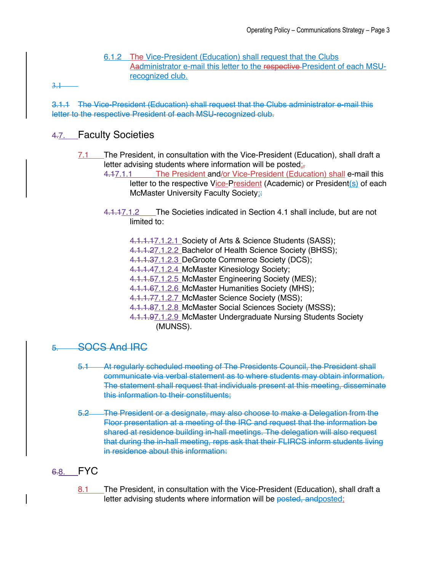6.1.2 The Vice-President (Education) shall request that the Clubs Aadministrator e-mail this letter to the respective President of each MSUrecognized club.

3.1

3.1.1 The Vice-President (Education) shall request that the Clubs administrator e-mail this letter to the respective President of each MSU-recognized club.

## 4.7. Faculty Societies

- 7.1 The President, in consultation with the Vice-President (Education), shall draft a letter advising students where information will be posted; $\frac{1}{2}$ 
	- 4.17.1.1 The President and/or Vice-President (Education) shall e-mail this letter to the respective Vice-President (Academic) or President(s) of each McMaster University Faculty Society;
		- 4.1.17.1.2 The Societies indicated in Section 4.1 shall include, but are not limited to:
			- 4.1.1.17.1.2.1 Society of Arts & Science Students (SASS);
			- 4.1.1.27.1.2.2 Bachelor of Health Science Society (BHSS);
			- 4.1.1.37.1.2.3 DeGroote Commerce Society (DCS);
			- 4.1.1.47.1.2.4 McMaster Kinesiology Society;
			- 4.1.1.57.1.2.5 McMaster Engineering Society (MES);
			- 4.1.1.67.1.2.6 McMaster Humanities Society (MHS);
			- 4.1.1.77.1.2.7 McMaster Science Society (MSS);
			- 4.1.1.87.1.2.8 McMaster Social Sciences Society (MSSS);
			- 4.1.1.97.1.2.9 McMaster Undergraduate Nursing Students Society (MUNSS).

#### 5. SOCS And IRC

- 5.1 At regularly scheduled meeting of The Presidents Council, the President shall communicate via verbal statement as to where students may obtain information. The statement shall request that individuals present at this meeting, disseminate this information to their constituents;
- 5.2 The President or a designate, may also choose to make a Delegation from the Floor presentation at a meeting of the IRC and request that the information be shared at residence building in-hall meetings. The delegation will also request that during the in-hall meeting, reps ask that their FLIRCS inform students living in residence about this information:

## 6.8. FYC

8.1 The President, in consultation with the Vice-President (Education), shall draft a letter advising students where information will be posted, and posted;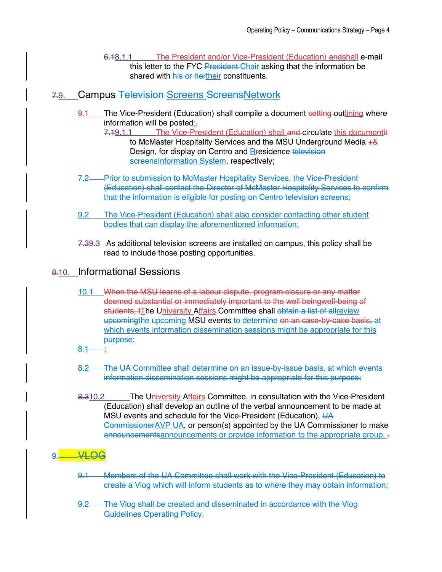6.18.1.1 The President and/or Vice-President (Education) andshall e-mail this letter to the FYC President Chair asking that the information be shared with his or hertheir constituents.

## 7.9. Campus Television Screens ScreensNetwork

- 9.1 The Vice-President (Education) shall compile a document setting outlining where information will be posted $\mathbf{r}$ 
	- 7.19.1.1 The Vice-President (Education) shall and circulate this documentit to McMaster Hospitality Services and the MSU Underground Media  $\pm \frac{8}{3}$ Design, for display on Centro and Residence television screensInformation System, respectively;
- 7.2 Prior to submission to McMaster Hospitality Services, the Vice-President (Education) shall contact the Director of McMaster Hospitality Services to confirm that the information is eligible for posting on Centro television screens;
- 9.2 The Vice-President (Education) shall also consider contacting other student bodies that can display the aforementioned information;
- 7.39.3 As additional television screens are installed on campus, this policy shall be read to include those posting opportunities.

#### 8.10. Informational Sessions

- 10.1 When the MSU learns of a labour dispute, program closure or any matter deemed substantial or immediately important to the well beingwell-being of students, tThe University Affairs Committee shall obtain a list of allreview upcomingthe upcoming MSU events to determine on an case-by-case basis, at which events information dissemination sessions might be appropriate for this purpose;
- $8.1$
- 8.2 The UA Committee shall determine on an issue-by-issue basis, at which events information dissemination sessions might be appropriate for this purpose;
- 8.310.2 The University Affairs Committee, in consultation with the Vice-President (Education) shall develop an outline of the verbal announcement to be made at MSU events and schedule for the Vice-President (Education), UA Commissioner AVP UA, or person(s) appointed by the UA Commissioner to make announcementsannouncements or provide information to the appropriate group.  $\frac{1}{2}$

#### $WQ<sub>9</sub>$

- 9.1 Members of the UA Committee shall work with the Vice-President (Education) to create a Vlog which will inform students as to where they may obtain information;
- 9.2 The Vlog shall be created and disseminated in accordance with the Vlog Guidelines Operating Policy.